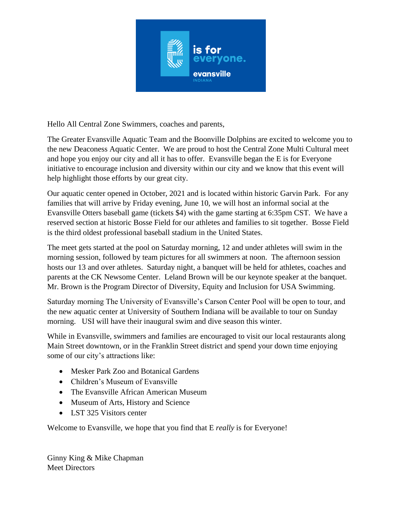

Hello All Central Zone Swimmers, coaches and parents,

The Greater Evansville Aquatic Team and the Boonville Dolphins are excited to welcome you to the new Deaconess Aquatic Center. We are proud to host the Central Zone Multi Cultural meet and hope you enjoy our city and all it has to offer. Evansville began the E is for Everyone initiative to encourage inclusion and diversity within our city and we know that this event will help highlight those efforts by our great city.

Our aquatic center opened in October, 2021 and is located within historic Garvin Park. For any families that will arrive by Friday evening, June 10, we will host an informal social at the Evansville Otters baseball game (tickets \$4) with the game starting at 6:35pm CST. We have a reserved section at historic Bosse Field for our athletes and families to sit together. Bosse Field is the third oldest professional baseball stadium in the United States.

The meet gets started at the pool on Saturday morning, 12 and under athletes will swim in the morning session, followed by team pictures for all swimmers at noon. The afternoon session hosts our 13 and over athletes. Saturday night, a banquet will be held for athletes, coaches and parents at the CK Newsome Center. Leland Brown will be our keynote speaker at the banquet. Mr. Brown is the Program Director of Diversity, Equity and Inclusion for USA Swimming.

Saturday morning The University of Evansville's Carson Center Pool will be open to tour, and the new aquatic center at University of Southern Indiana will be available to tour on Sunday morning. USI will have their inaugural swim and dive season this winter.

While in Evansville, swimmers and families are encouraged to visit our local restaurants along Main Street downtown, or in the Franklin Street district and spend your down time enjoying some of our city's attractions like:

- Mesker Park Zoo and Botanical Gardens
- Children's Museum of Evansville
- The Evansville African American Museum
- Museum of Arts, History and Science
- LST 325 Visitors center

Welcome to Evansville, we hope that you find that E *really* is for Everyone!

Ginny King & Mike Chapman Meet Directors